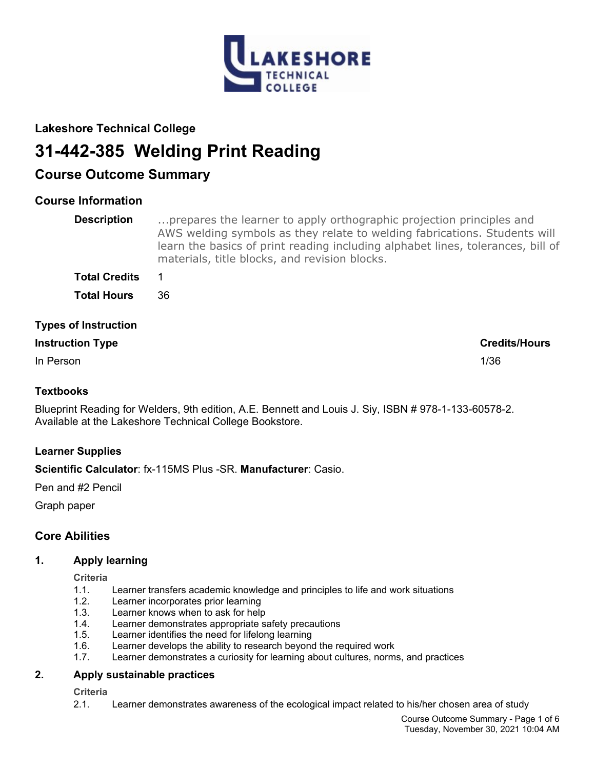

# **Lakeshore Technical College**

# **31-442-385 Welding Print Reading**

# **Course Outcome Summary**

# **Course Information**

| <b>Description</b>          | prepares the learner to apply orthographic projection principles and<br>AWS welding symbols as they relate to welding fabrications. Students will<br>learn the basics of print reading including alphabet lines, tolerances, bill of<br>materials, title blocks, and revision blocks. |
|-----------------------------|---------------------------------------------------------------------------------------------------------------------------------------------------------------------------------------------------------------------------------------------------------------------------------------|
| <b>Total Credits</b>        |                                                                                                                                                                                                                                                                                       |
| <b>Total Hours</b>          | 36                                                                                                                                                                                                                                                                                    |
| <b>Types of Instruction</b> |                                                                                                                                                                                                                                                                                       |
| <b>Instruction Type</b>     | <b>Credits/Hours</b>                                                                                                                                                                                                                                                                  |

| <b>III</b> SUUCUUI TYPE | ᄓᄖ   |
|-------------------------|------|
| In Person               | 1/36 |

### **Textbooks**

Blueprint Reading for Welders, 9th edition, A.E. Bennett and Louis J. Siy, ISBN # 978-1-133-60578-2. Available at the Lakeshore Technical College Bookstore.

### **Learner Supplies**

**Scientific Calculator**: fx-115MS Plus -SR. **Manufacturer**: Casio.

Pen and #2 Pencil

Graph paper

# **Core Abilities**

### **1. Apply learning**

**Criteria**

- 1.1. Learner transfers academic knowledge and principles to life and work situations
- 1.2. Learner incorporates prior learning
- 1.3. Learner knows when to ask for help
- 1.4. Learner demonstrates appropriate safety precautions
- 1.5. Learner identifies the need for lifelong learning
- 1.6. Learner develops the ability to research beyond the required work
- 1.7. Learner demonstrates a curiosity for learning about cultures, norms, and practices

### **2. Apply sustainable practices**

**Criteria**

2.1. Learner demonstrates awareness of the ecological impact related to his/her chosen area of study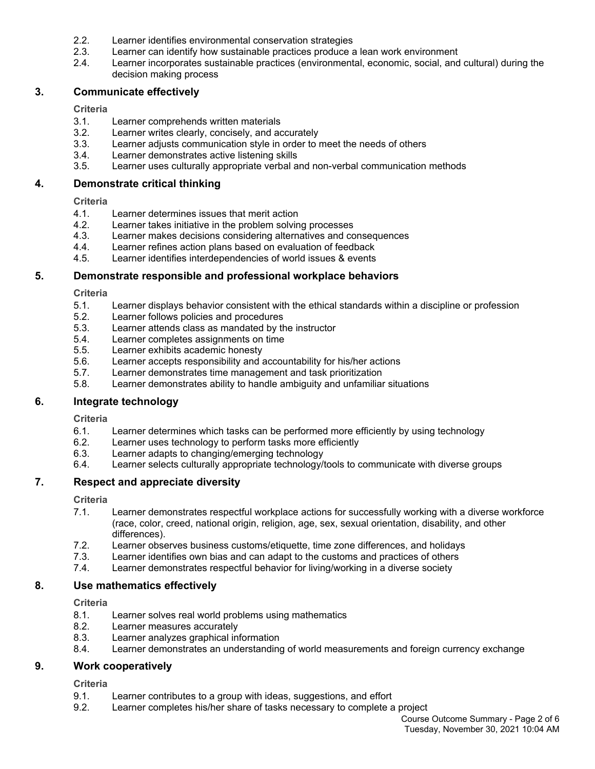- 2.2. Learner identifies environmental conservation strategies
- 2.3. Learner can identify how sustainable practices produce a lean work environment
- 2.4. Learner incorporates sustainable practices (environmental, economic, social, and cultural) during the decision making process

#### **3. Communicate effectively**

**Criteria**

- 3.1. Learner comprehends written materials
- 3.2. Learner writes clearly, concisely, and accurately
- 3.3. Learner adjusts communication style in order to meet the needs of others
- 3.4. Learner demonstrates active listening skills
- 3.5. Learner uses culturally appropriate verbal and non-verbal communication methods

#### **4. Demonstrate critical thinking**

**Criteria**

- 4.1. Learner determines issues that merit action<br>4.2. Learner takes initiative in the problem solvin
- Learner takes initiative in the problem solving processes
- 4.3. Learner makes decisions considering alternatives and consequences
- 4.4. Learner refines action plans based on evaluation of feedback
- 4.5. Learner identifies interdependencies of world issues & events

#### **5. Demonstrate responsible and professional workplace behaviors**

**Criteria**

- 5.1. Learner displays behavior consistent with the ethical standards within a discipline or profession
- 5.2. Learner follows policies and procedures
- 5.3. Learner attends class as mandated by the instructor
- 5.4. Learner completes assignments on time
- 5.5. Learner exhibits academic honesty
- 5.6. Learner accepts responsibility and accountability for his/her actions
- 5.7. Learner demonstrates time management and task prioritization
- 5.8. Learner demonstrates ability to handle ambiguity and unfamiliar situations

### **6. Integrate technology**

**Criteria**

- 6.1. Learner determines which tasks can be performed more efficiently by using technology
- 6.2. Learner uses technology to perform tasks more efficiently
- 6.3. Learner adapts to changing/emerging technology
- 6.4. Learner selects culturally appropriate technology/tools to communicate with diverse groups

### **7. Respect and appreciate diversity**

#### **Criteria**

- 7.1. Learner demonstrates respectful workplace actions for successfully working with a diverse workforce (race, color, creed, national origin, religion, age, sex, sexual orientation, disability, and other differences).
- 7.2. Learner observes business customs/etiquette, time zone differences, and holidays
- 7.3. Learner identifies own bias and can adapt to the customs and practices of others
- 7.4. Learner demonstrates respectful behavior for living/working in a diverse society

### **8. Use mathematics effectively**

**Criteria**

- 8.1. Learner solves real world problems using mathematics
- 8.2. Learner measures accurately
- 8.3. Learner analyzes graphical information
- 8.4. Learner demonstrates an understanding of world measurements and foreign currency exchange

### **9. Work cooperatively**

**Criteria**

- 9.1. Learner contributes to a group with ideas, suggestions, and effort
- 9.2. Learner completes his/her share of tasks necessary to complete a project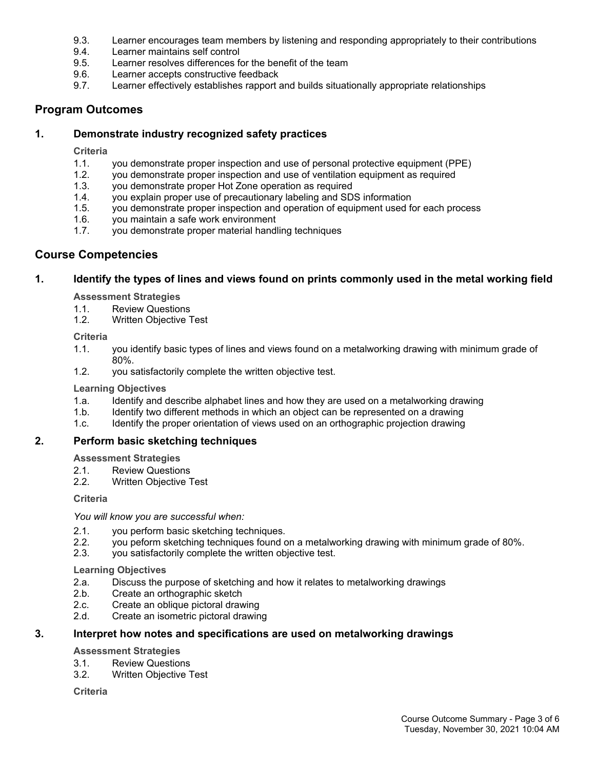- 9.3. Learner encourages team members by listening and responding appropriately to their contributions
- 9.4. Learner maintains self control
- 9.5. Learner resolves differences for the benefit of the team
- 9.6. Learner accepts constructive feedback
- 9.7. Learner effectively establishes rapport and builds situationally appropriate relationships

# **Program Outcomes**

### **1. Demonstrate industry recognized safety practices**

**Criteria**

- 1.1. you demonstrate proper inspection and use of personal protective equipment (PPE)
- 1.2. you demonstrate proper inspection and use of ventilation equipment as required
- 1.3. you demonstrate proper Hot Zone operation as required
- 1.4. you explain proper use of precautionary labeling and SDS information
- 1.5. you demonstrate proper inspection and operation of equipment used for each process
- 1.6. you maintain a safe work environment
- 1.7. you demonstrate proper material handling techniques

### **Course Competencies**

### **1. Identify the types of lines and views found on prints commonly used in the metal working field**

**Assessment Strategies**

- 1.1. Review Questions
- 1.2. Written Objective Test

**Criteria**

- 1.1. you identify basic types of lines and views found on a metalworking drawing with minimum grade of 80%.
- 1.2. you satisfactorily complete the written objective test.

#### **Learning Objectives**

- 1.a. Identify and describe alphabet lines and how they are used on a metalworking drawing
- 1.b. Identify two different methods in which an object can be represented on a drawing
- 1.c. Identify the proper orientation of views used on an orthographic projection drawing

### **2. Perform basic sketching techniques**

#### **Assessment Strategies**

- 2.1. Review Questions<br>2.2. Written Obiective T
- 2.2. Written Objective Test

### **Criteria**

*You will know you are successful when:*

- 2.1. you perform basic sketching techniques.
- 2.2. you peform sketching techniques found on a metalworking drawing with minimum grade of 80%.
- 2.3. you satisfactorily complete the written objective test.

#### **Learning Objectives**

- 2.a. Discuss the purpose of sketching and how it relates to metalworking drawings 2.b. Create an orthographic sketch
- Create an orthographic sketch
- 2.c. Create an oblique pictoral drawing
- 2.d. Create an isometric pictoral drawing

### **3. Interpret how notes and specifications are used on metalworking drawings**

#### **Assessment Strategies**

- 3.1. Review Questions
- 3.2. Written Objective Test

**Criteria**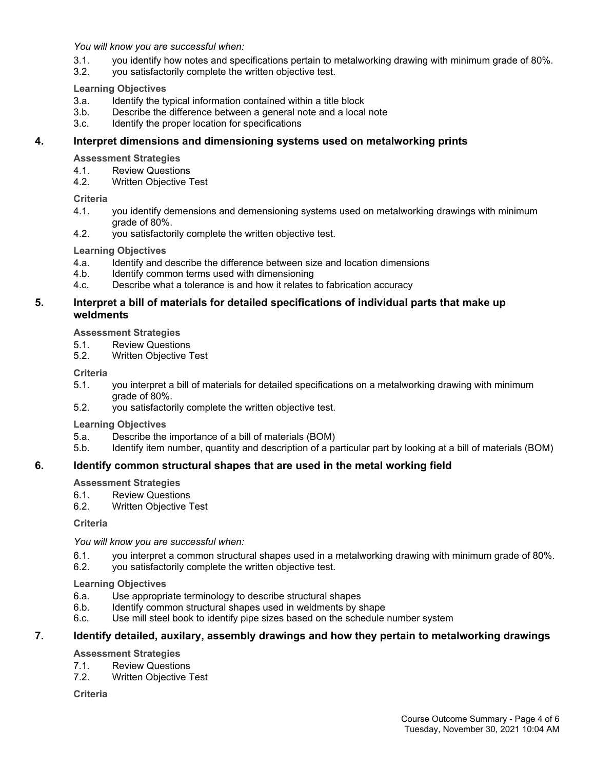*You will know you are successful when:*

- 3.1. you identify how notes and specifications pertain to metalworking drawing with minimum grade of 80%.
- 3.2. you satisfactorily complete the written objective test.

**Learning Objectives**

- 3.a. Identify the typical information contained within a title block
- 3.b. Describe the difference between a general note and a local note
- 3.c. Identify the proper location for specifications

### **4. Interpret dimensions and dimensioning systems used on metalworking prints**

**Assessment Strategies**

- 4.1. Review Questions
- 4.2. Written Objective Test

**Criteria**

- 4.1. you identify demensions and demensioning systems used on metalworking drawings with minimum grade of 80%.
- 4.2. you satisfactorily complete the written objective test.

#### **Learning Objectives**

- 4.a. Identify and describe the difference between size and location dimensions
- 4.b. Identify common terms used with dimensioning
- 4.c. Describe what a tolerance is and how it relates to fabrication accuracy

### **5. Interpret a bill of materials for detailed specifications of individual parts that make up weldments**

#### **Assessment Strategies**

- 5.1. Review Questions
- 5.2. Written Objective Test

#### **Criteria**

- 5.1. you interpret a bill of materials for detailed specifications on a metalworking drawing with minimum grade of 80%.
- 5.2. you satisfactorily complete the written objective test.

#### **Learning Objectives**

- 5.a. Describe the importance of a bill of materials (BOM)
- 5.b. Identify item number, quantity and description of a particular part by looking at a bill of materials (BOM)

### **6. Identify common structural shapes that are used in the metal working field**

#### **Assessment Strategies**

- 6.1. Review Questions
- 6.2. Written Objective Test

**Criteria**

*You will know you are successful when:*

- 6.1. you interpret a common structural shapes used in a metalworking drawing with minimum grade of 80%.
- 6.2. you satisfactorily complete the written objective test.

#### **Learning Objectives**

- 6.a. Use appropriate terminology to describe structural shapes
- 6.b. Identify common structural shapes used in weldments by shape
- 6.c. Use mill steel book to identify pipe sizes based on the schedule number system

### **7. Identify detailed, auxilary, assembly drawings and how they pertain to metalworking drawings**

#### **Assessment Strategies**

- 7.1. Review Questions
- 7.2. Written Objective Test

**Criteria**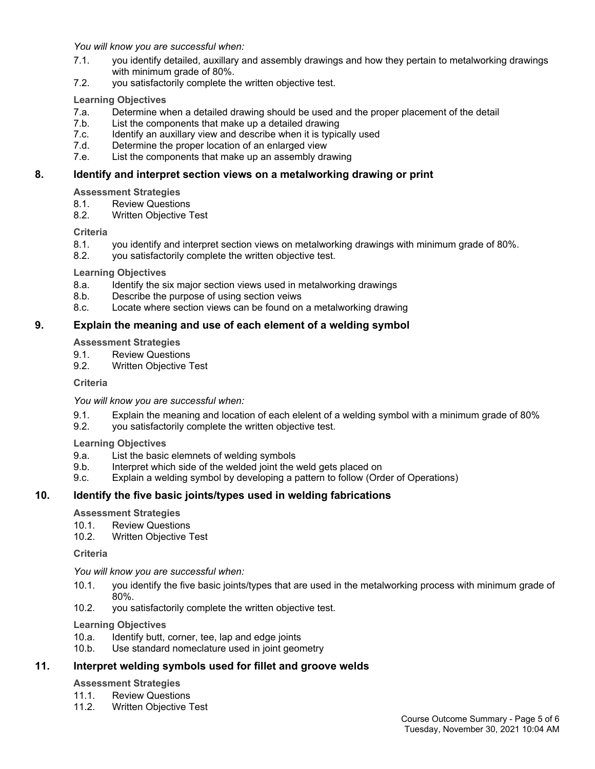*You will know you are successful when:*

- 7.1. you identify detailed, auxillary and assembly drawings and how they pertain to metalworking drawings with minimum grade of 80%.
- 7.2. you satisfactorily complete the written objective test.

### **Learning Objectives**

- 7.a. Determine when a detailed drawing should be used and the proper placement of the detail
- 7.b. List the components that make up a detailed drawing
- 7.c. Identify an auxillary view and describe when it is typically used
- 7.d. Determine the proper location of an enlarged view
- 7.e. List the components that make up an assembly drawing

### **8. Identify and interpret section views on a metalworking drawing or print**

**Assessment Strategies**

- 8.1. Review Questions
- 8.2. Written Objective Test

### **Criteria**

- 8.1. you identify and interpret section views on metalworking drawings with minimum grade of 80%.
- 8.2. you satisfactorily complete the written objective test.

### **Learning Objectives**

- 8.a. Identify the six major section views used in metalworking drawings
- 8.b. Describe the purpose of using section veiws
- 8.c. Locate where section views can be found on a metalworking drawing

### **9. Explain the meaning and use of each element of a welding symbol**

**Assessment Strategies**

- 9.1. Review Questions
- 9.2. Written Objective Test

### **Criteria**

*You will know you are successful when:*

- 9.1. Explain the meaning and location of each elelent of a welding symbol with a minimum grade of 80%
- 9.2. you satisfactorily complete the written objective test.

### **Learning Objectives**

- 9.a. List the basic elemnets of welding symbols
- 9.b. Interpret which side of the welded joint the weld gets placed on
- 9.c. Explain a welding symbol by developing a pattern to follow (Order of Operations)

### **10. Identify the five basic joints/types used in welding fabrications**

### **Assessment Strategies**

- 10.1. Review Questions
- 10.2. Written Objective Test

**Criteria**

*You will know you are successful when:*

- 10.1. you identify the five basic joints/types that are used in the metalworking process with minimum grade of 80%.
- 10.2. you satisfactorily complete the written objective test.

**Learning Objectives**

- 10.a. Identify butt, corner, tee, lap and edge joints
- 10.b. Use standard nomeclature used in joint geometry

### **11. Interpret welding symbols used for fillet and groove welds**

### **Assessment Strategies**

- 11.1. Review Questions
- 11.2. Written Objective Test